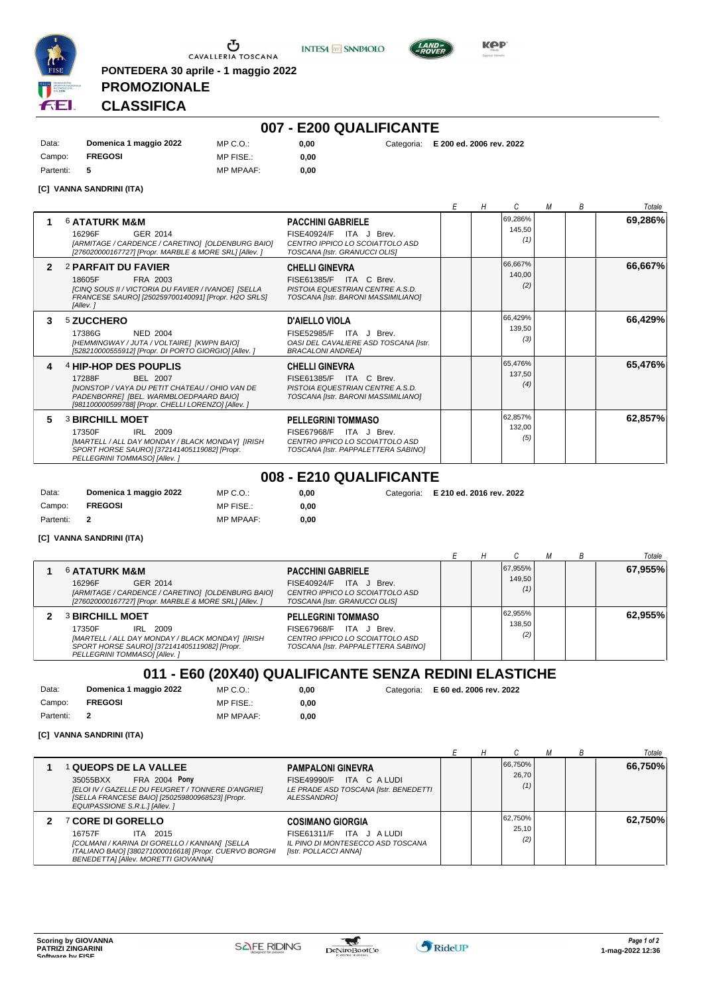





**PONTEDERA 30 aprile - 1 maggio 2022 PROMOZIONALE CLASSIFICA**

# **007 - E200 QUALIFICANTE**

|           |                        | .                | ____________________ |                                     |
|-----------|------------------------|------------------|----------------------|-------------------------------------|
| Data:     | Domenica 1 maggio 2022 | MP C. O.         | 0.00                 | Categoria: E 200 ed. 2006 rev. 2022 |
| Campo:    | <b>FREGOSI</b>         | MP FISE.:        | 0.00                 |                                     |
| Partenti: | - 5                    | <b>MP MPAAF:</b> | 0.00                 |                                     |

#### **[C] VANNA SANDRINI (ITA)**

|              |                                                                                                                                                                                                |                                                                                                                                | F | Н |                          | М | B | Totale  |
|--------------|------------------------------------------------------------------------------------------------------------------------------------------------------------------------------------------------|--------------------------------------------------------------------------------------------------------------------------------|---|---|--------------------------|---|---|---------|
|              | <b>6 ATATURK M&amp;M</b><br>GER 2014<br>16296F<br>[ARMITAGE / CARDENCE / CARETINO] [OLDENBURG BAIO]<br>[276020000167727] [Propr. MARBLE & MORE SRL] [Allev. ]                                  | <b>PACCHINI GABRIELE</b><br>FISE40924/F ITA J Brev.<br>CENTRO IPPICO LO SCOIATTOLO ASD<br>TOSCANA [Istr. GRANUCCI OLIS]        |   |   | 69.286%<br>145.50<br>(1) |   |   | 69,286% |
| $\mathbf{2}$ | 2 PARFAIT DU FAVIER<br>18605F<br>FRA 2003<br>[CINQ SOUS II / VICTORIA DU FAVIER / IVANOE] [SELLA<br>FRANCESE SAUROI [250259700140091] [Propr. H2O SRLS]<br>[Allev.]                            | <b>CHELLI GINEVRA</b><br>FISE61385/F ITA C Brev.<br>PISTOIA EQUESTRIAN CENTRE A.S.D.<br>TOSCANA [Istr. BARONI MASSIMILIANO]    |   |   | 66.667%<br>140,00<br>(2) |   |   | 66,667% |
| з.           | 5 ZUCCHERO<br>17386G<br><b>NED 2004</b><br>[HEMMINGWAY / JUTA / VOLTAIRE] [KWPN BAIO]<br>[528210000555912] [Propr. DI PORTO GIORGIO] [Allev. ]                                                 | D'AIELLO VIOLA<br>FISE52985/F ITA J Brev.<br>OASI DEL CAVALIERE ASD TOSCANA [Istr.<br><b>BRACALONI ANDREAI</b>                 |   |   | 66,429%<br>139,50<br>(3) |   |   | 66,429% |
| 4            | 4 HIP-HOP DES POUPLIS<br>17288F<br>BEL 2007<br>[NONSTOP / VAYA DU PETIT CHATEAU / OHIO VAN DE<br>PADENBORREI IBEL, WARMBLOEDPAARD BAIOI<br>[981100000599788] [Propr. CHELLI LORENZO] [Allev. ] | <b>CHELLI GINEVRA</b><br>FISE61385/F ITA C Brev.<br>PISTOIA EQUESTRIAN CENTRE A.S.D.<br>TOSCANA IIstr. BARONI MASSIMILIANOI    |   |   | 65,476%<br>137.50<br>(4) |   |   | 65,476% |
| 5            | <b>3 BIRCHILL MOET</b><br>17350F<br>IRL 2009<br>[MARTELL / ALL DAY MONDAY / BLACK MONDAY] [IRISH<br>SPORT HORSE SAURO] [372141405119082] [Propr.<br>PELLEGRINI TOMMASOI [Allev.]               | <b>PELLEGRINI TOMMASO</b><br>FISE67968/F ITA J Brev.<br>CENTRO IPPICO LO SCOIATTOLO ASD<br>TOSCANA [Istr. PAPPALETTERA SABINO] |   |   | 62,857%<br>132,00<br>(5) |   |   | 62,857% |
|              |                                                                                                                                                                                                | 008 - E210 QUALIFICANTE                                                                                                        |   |   |                          |   |   |         |

Data: **Domenica 1 maggio 2022** Campo: **FREGOSI** Partenti: **2** MP C.O.: MP FISE.: MP MPAAF: **0,00 0,00**

**0,00** Categoria: **E 210 ed. 2016 rev. 2022**

**0,00** Categoria: **E 60 ed. 2006 rev. 2022**

**[C] VANNA SANDRINI (ITA)**

|                                                                                                                                                                                  |                                                                                                                                |  |                          |  | Totale  |
|----------------------------------------------------------------------------------------------------------------------------------------------------------------------------------|--------------------------------------------------------------------------------------------------------------------------------|--|--------------------------|--|---------|
| <b>6 ATATURK M&amp;M</b><br>16296F<br>GER 2014<br>[ARMITAGE / CARDENCE / CARETINO] [OLDENBURG BAIO]<br>[276020000167727] [Propr. MARBLE & MORE SRL] [Allev. ]                    | <b>PACCHINI GABRIELE</b><br>FISE40924/F ITA J Brev.<br>CENTRO IPPICO LO SCOIATTOLO ASD<br>TOSCANA [Istr. GRANUCCI OLIS]        |  | 67,955%<br>149.50<br>(1) |  | 67,955% |
| <b>3 BIRCHILL MOET</b><br>IRL 2009<br>17350F<br>[MARTELL / ALL DAY MONDAY / BLACK MONDAY] [IRISH<br>SPORT HORSE SAURO] [372141405119082] [Propr.<br>PELLEGRINI TOMMASOI [Allev.] | <b>PELLEGRINI TOMMASO</b><br>FISE67968/F ITA J Brev.<br>CENTRO IPPICO LO SCOIATTOLO ASD<br>TOSCANA [Istr. PAPPALETTERA SABINO] |  | 62,955%<br>138.50<br>(2) |  | 62.955% |

#### **011 - E60 (20X40) QUALIFICANTE SENZA REDINI ELASTICHE**

0,00 **0,00**

| Data:     | Domenica 1 maggio 2022 | MP C. O.         |
|-----------|------------------------|------------------|
| Campo:    | <b>FREGOSI</b>         | MP FISE.:        |
| Partenti: |                        | <b>MP MPAAF:</b> |

| . |                          |
|---|--------------------------|
|   |                          |
|   | [C] VANNA SANDRINI (ITA) |

|                                                                                                                                                                                                            |                                                                                                                  |  |                         | R | Totale  |
|------------------------------------------------------------------------------------------------------------------------------------------------------------------------------------------------------------|------------------------------------------------------------------------------------------------------------------|--|-------------------------|---|---------|
| <b>∣ QUEOPS DE LA VALLEE</b><br><b>FRA 2004 Pony</b><br>35055BXX<br>[ELOI IV / GAZELLE DU FEUGRET / TONNERE D'ANGRIE]<br>[SELLA FRANCESE BAIO] [250259800968523] [Propr.<br>EQUIPASSIONE S.R.L.] [Allev. ] | <b>PAMPALONI GINEVRA</b><br>FISE49990/F ITA C A LUDI<br>LE PRADE ASD TOSCANA [Istr. BENEDETTI<br>ALESSANDRO]     |  | 66.750%<br>26.70<br>(1) |   | 66,750% |
| <sup>7</sup> CORE DI GORELLO<br>16757F<br>ITA 2015<br>[COLMANI / KARINA DI GORELLO / KANNAN] [SELLA<br>ITALIANO BAIO] [380271000016618] [Propr. CUERVO BORGHI<br>BENEDETTAI [Allev. MORETTI GIOVANNA]      | <b>COSIMANO GIORGIA</b><br>FISE61311/F ITA J ALUDI<br>IL PINO DI MONTESECCO ASD TOSCANA<br>[Istr. POLLACCI ANNA] |  | 62,750%<br>25.10<br>(2) |   | 62.750% |